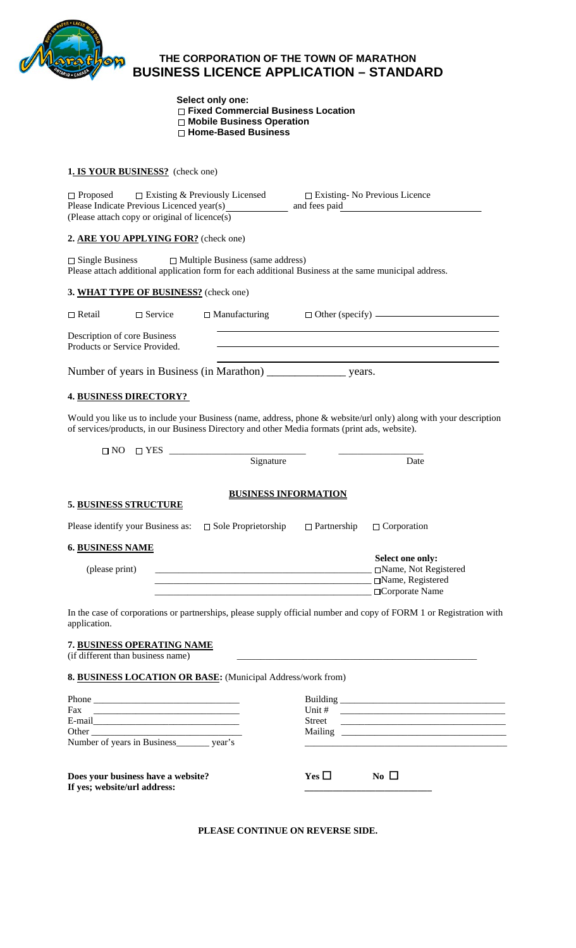

# **THE CORPORATION OF THE TOWN OF MARATHON BUSINESS LICENCE APPLICATION – STANDARD**

 **Select only one: Fixed Commercial Business Location Mobile Business Operation Home-Based Business** 

#### **1. IS YOUR BUSINESS?** (check one)

| $\Box$ Proposed<br>$\Box$ Existing & Previously Licensed<br>Please Indicate Previous Licenced year(s)<br>(Please attach copy or original of licence(s)                                                                                                                                                                                                                                                                                                          | $\square$ Existing- No Previous Licence |                                                                                                                                                                                                                                      |
|-----------------------------------------------------------------------------------------------------------------------------------------------------------------------------------------------------------------------------------------------------------------------------------------------------------------------------------------------------------------------------------------------------------------------------------------------------------------|-----------------------------------------|--------------------------------------------------------------------------------------------------------------------------------------------------------------------------------------------------------------------------------------|
| 2. ARE YOU APPLYING FOR? (check one)                                                                                                                                                                                                                                                                                                                                                                                                                            |                                         |                                                                                                                                                                                                                                      |
| $\Box$ Single Business $\Box$ Multiple Business (same address)<br>Please attach additional application form for each additional Business at the same municipal address.                                                                                                                                                                                                                                                                                         |                                         |                                                                                                                                                                                                                                      |
| 3. WHAT TYPE OF BUSINESS? (check one)                                                                                                                                                                                                                                                                                                                                                                                                                           |                                         |                                                                                                                                                                                                                                      |
| $\Box$ Manufacturing<br>$\Box$ Retail<br>$\Box$ Service                                                                                                                                                                                                                                                                                                                                                                                                         |                                         | $\Box$ Other (specify) $\Box$                                                                                                                                                                                                        |
| Description of core Business<br>Products or Service Provided.                                                                                                                                                                                                                                                                                                                                                                                                   |                                         | <u> 1989 - Johann Barn, fransk politik amerikansk politik (d. 1989)</u>                                                                                                                                                              |
| Number of years in Business (in Marathon) _______________________ years.                                                                                                                                                                                                                                                                                                                                                                                        |                                         | and the state of the state of the state of the state of the state of the state of the state of                                                                                                                                       |
| <b>4. BUSINESS DIRECTORY?</b>                                                                                                                                                                                                                                                                                                                                                                                                                                   |                                         |                                                                                                                                                                                                                                      |
| Would you like us to include your Business (name, address, phone & website/url only) along with your description<br>of services/products, in our Business Directory and other Media formats (print ads, website).                                                                                                                                                                                                                                               |                                         |                                                                                                                                                                                                                                      |
| $\Box$ NO<br>$\begin{tabular}{c} \hline \rule[1em]{1em}{1em} \rule[1em]{1em}{3.2em}\\ \rule[1em]{1em}{1em} \rule[1em]{1em}{3.2em}\\ \rule[1em]{1em}{1em}\\ \rule[1em]{1em}{1em}\\ \rule[1em]{1em}{1em}\\ \rule[1em]{1em}{1em}\\ \rule[1em]{1em}{1em}\\ \rule[1em]{1em}{1em}\\ \rule[1em]{1em}{1em}\\ \rule[1em]{1em}{1em}\\ \rule[1em]{1em}{1em}\\ \rule[1em]{1em}{1em}\\ \rule[1em]{1em}{1em}\\ \rule[1em]{1em}{1em}\\ \rule[1em]{1em}{1em}\\ \$<br>$\Box$ YES |                                         | Date                                                                                                                                                                                                                                 |
|                                                                                                                                                                                                                                                                                                                                                                                                                                                                 |                                         |                                                                                                                                                                                                                                      |
| <b>BUSINESS INFORMATION</b><br><b>5. BUSINESS STRUCTURE</b>                                                                                                                                                                                                                                                                                                                                                                                                     |                                         |                                                                                                                                                                                                                                      |
| Please identify your Business as: $\Box$ Sole Proprietorship                                                                                                                                                                                                                                                                                                                                                                                                    | $\Box$ Partnership                      | $\Box$ Corporation                                                                                                                                                                                                                   |
| <b>6. BUSINESS NAME</b>                                                                                                                                                                                                                                                                                                                                                                                                                                         |                                         |                                                                                                                                                                                                                                      |
| (please print)                                                                                                                                                                                                                                                                                                                                                                                                                                                  |                                         | Select one only:<br>□Name, Not Registered<br>□Name, Registered<br>□Corporate Name                                                                                                                                                    |
| In the case of corporations or partnerships, please supply official number and copy of FORM 1 or Registration with<br>application.                                                                                                                                                                                                                                                                                                                              |                                         |                                                                                                                                                                                                                                      |
| 7. BUSINESS OPERATING NAME<br>(if different than business name)                                                                                                                                                                                                                                                                                                                                                                                                 |                                         |                                                                                                                                                                                                                                      |
| 8. BUSINESS LOCATION OR BASE: (Municipal Address/work from)                                                                                                                                                                                                                                                                                                                                                                                                     |                                         |                                                                                                                                                                                                                                      |
|                                                                                                                                                                                                                                                                                                                                                                                                                                                                 |                                         |                                                                                                                                                                                                                                      |
| Fax<br><u> Territoria de la contenentación de la contenentación de la contenentación de la contenentación de la contene</u>                                                                                                                                                                                                                                                                                                                                     | Unit #<br>Street                        | <u> Terminal de la componentación de la componentación de la componentación de la componentación de la componentación de la componentación de la componentación de la componentación de la componentación de la componentación d</u> |
|                                                                                                                                                                                                                                                                                                                                                                                                                                                                 |                                         |                                                                                                                                                                                                                                      |
| Number of years in Business_________ year's                                                                                                                                                                                                                                                                                                                                                                                                                     |                                         |                                                                                                                                                                                                                                      |
| Does your business have a website?<br>If yes; website/url address:                                                                                                                                                                                                                                                                                                                                                                                              | $Yes \Box$                              | No $\Box$                                                                                                                                                                                                                            |

**PLEASE CONTINUE ON REVERSE SIDE.**